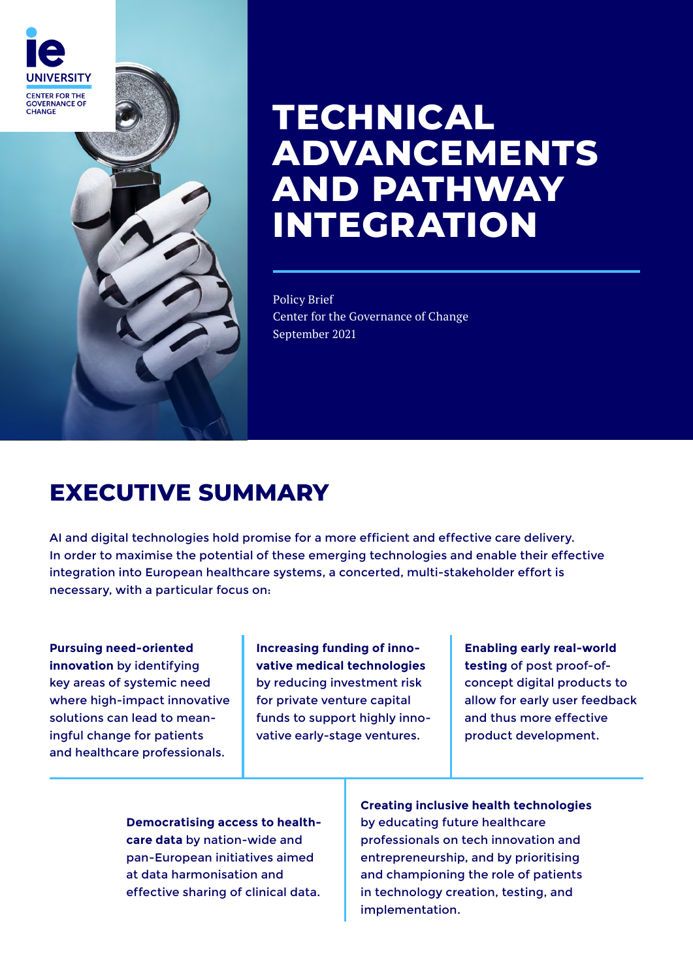

# **TECHNICAL ADVANCEMENTS AND PATHWAY INTEGRATION**

Policy Brief Center for the Governance of Change September 2021

# **EXECUTIVE SUMMARY**

AI and digital technologies hold promise for a more efficient and effective care delivery. In order to maximise the potential of these emerging technologies and enable their effective integration into European healthcare systems, a concerted, multi-stakeholder effort is necessary, with a particular focus on:

**Pursuing need-oriented innovation** by identifying key areas of systemic need where high-impact innovative solutions can lead to meaningful change for patients and healthcare professionals.

**Increasing funding of innovative medical technologies**  by reducing investment risk for private venture capital funds to support highly innovative early-stage ventures.

**Enabling early real-world testing** of post proof-ofconcept digital products to allow for early user feedback and thus more effective product development.

**Democratising access to healthcare data** by nation-wide and pan-European initiatives aimed at data harmonisation and effective sharing of clinical data.

**Creating inclusive health technologies**  by educating future healthcare professionals on tech innovation and entrepreneurship, and by prioritising and championing the role of patients in technology creation, testing, and implementation.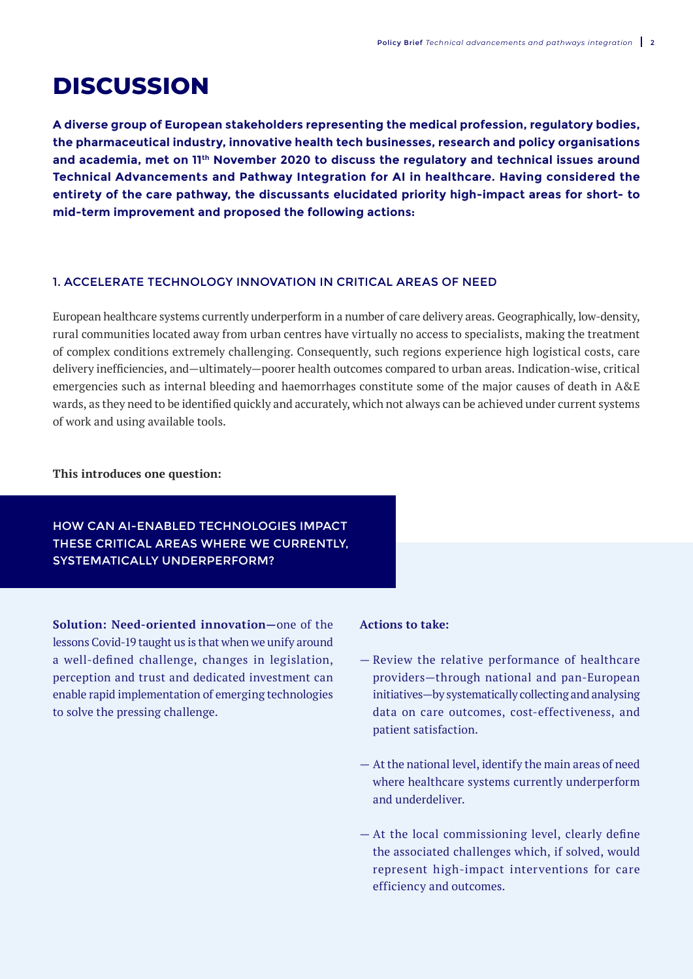# **DISCUSSION**

**A diverse group of European stakeholders representing the medical profession, regulatory bodies, the pharmaceutical industry, innovative health tech businesses, research and policy organisations and academia, met on 11th November 2020 to discuss the regulatory and technical issues around Technical Advancements and Pathway Integration for AI in healthcare. Having considered the entirety of the care pathway, the discussants elucidated priority high-impact areas for short- to mid-term improvement and proposed the following actions:**

#### 1. ACCELERATE TECHNOLOGY INNOVATION IN CRITICAL AREAS OF NEED

European healthcare systems currently underperform in a number of care delivery areas. Geographically, low-density, rural communities located away from urban centres have virtually no access to specialists, making the treatment of complex conditions extremely challenging. Consequently, such regions experience high logistical costs, care delivery inefficiencies, and—ultimately—poorer health outcomes compared to urban areas. Indication-wise, critical emergencies such as internal bleeding and haemorrhages constitute some of the major causes of death in A&E wards, as they need to be identified quickly and accurately, which not always can be achieved under current systems of work and using available tools.

#### **This introduces one question:**

# HOW CAN AI-ENABLED TECHNOLOGIES IMPACT THESE CRITICAL AREAS WHERE WE CURRENTLY, SYSTEMATICALLY UNDERPERFORM?

**Solution: Need-oriented innovation—**one of the lessons Covid-19 taught us is that when we unify around a well-defined challenge, changes in legislation, perception and trust and dedicated investment can enable rapid implementation of emerging technologies to solve the pressing challenge.

- Review the relative performance of healthcare providers—through national and pan-European initiatives—by systematically collecting and analysing data on care outcomes, cost-effectiveness, and patient satisfaction.
- At the national level, identify the main areas of need where healthcare systems currently underperform and underdeliver.
- At the local commissioning level, clearly define the associated challenges which, if solved, would represent high-impact interventions for care efficiency and outcomes.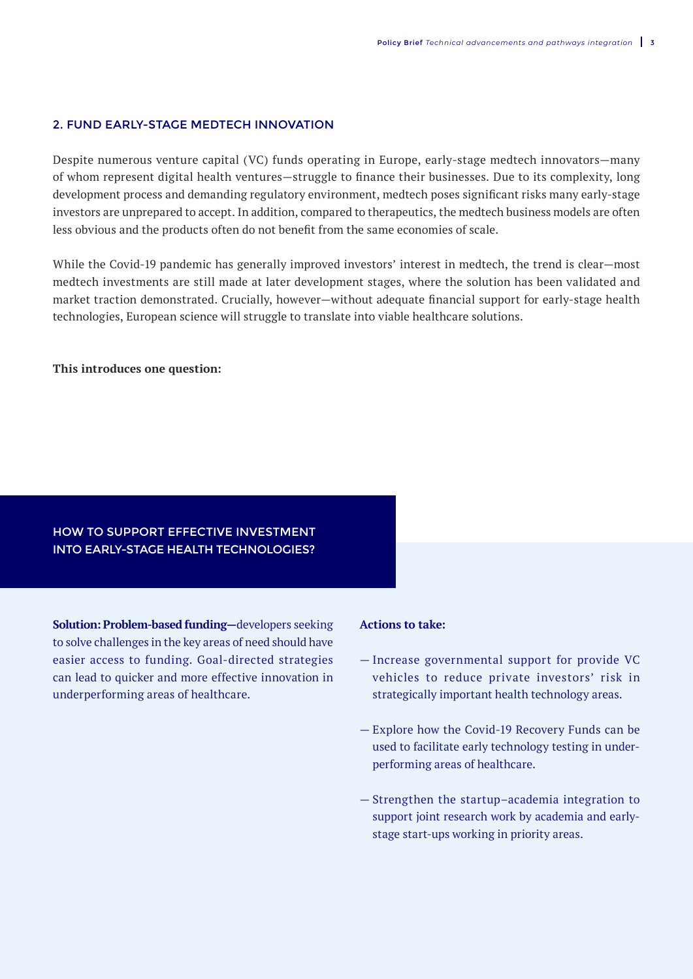### 2. FUND EARLY-STAGE MEDTECH INNOVATION

Despite numerous venture capital (VC) funds operating in Europe, early-stage medtech innovators—many of whom represent digital health ventures—struggle to finance their businesses. Due to its complexity, long development process and demanding regulatory environment, medtech poses significant risks many early-stage investors are unprepared to accept. In addition, compared to therapeutics, the medtech business models are often less obvious and the products often do not benefit from the same economies of scale.

While the Covid-19 pandemic has generally improved investors' interest in medtech, the trend is clear—most medtech investments are still made at later development stages, where the solution has been validated and market traction demonstrated. Crucially, however—without adequate financial support for early-stage health technologies, European science will struggle to translate into viable healthcare solutions.

#### **This introduces one question:**

# HOW TO SUPPORT EFFECTIVE INVESTMENT INTO EARLY-STAGE HEALTH TECHNOLOGIES?

**Solution: Problem-based funding—**developers seeking to solve challenges in the key areas of need should have easier access to funding. Goal-directed strategies can lead to quicker and more effective innovation in underperforming areas of healthcare.

- Increase governmental support for provide VC vehicles to reduce private investors' risk in strategically important health technology areas.
- Explore how the Covid-19 Recovery Funds can be used to facilitate early technology testing in underperforming areas of healthcare.
- Strengthen the startup–academia integration to support joint research work by academia and earlystage start-ups working in priority areas.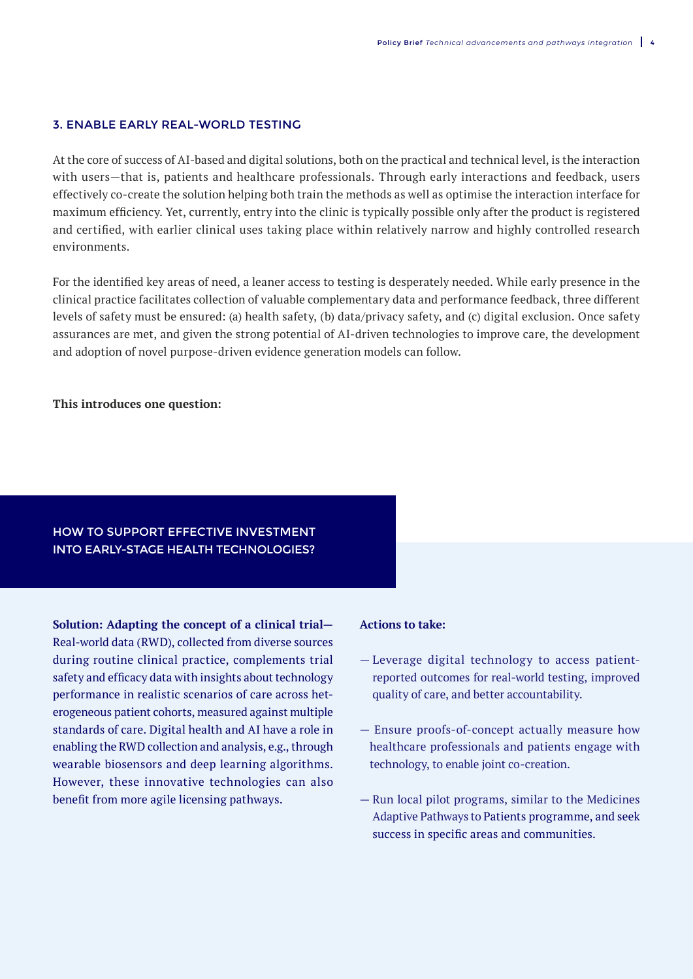#### 3. ENABLE EARLY REAL-WORLD TESTING

At the core of success of AI-based and digital solutions, both on the practical and technical level, is the interaction with users—that is, patients and healthcare professionals. Through early interactions and feedback, users effectively co-create the solution helping both train the methods as well as optimise the interaction interface for maximum efficiency. Yet, currently, entry into the clinic is typically possible only after the product is registered and certified, with earlier clinical uses taking place within relatively narrow and highly controlled research environments.

For the identified key areas of need, a leaner access to testing is desperately needed. While early presence in the clinical practice facilitates collection of valuable complementary data and performance feedback, three different levels of safety must be ensured: (a) health safety, (b) data/privacy safety, and (c) digital exclusion. Once safety assurances are met, and given the strong potential of AI-driven technologies to improve care, the development and adoption of novel purpose-driven evidence generation models can follow.

#### **This introduces one question:**

# HOW TO SUPPORT EFFECTIVE INVESTMENT INTO EARLY-STAGE HEALTH TECHNOLOGIES?

**Solution: Adapting the concept of a clinical trial—** Real-world data (RWD), collected from diverse sources during routine clinical practice, complements trial safety and efficacy data with insights about technology performance in realistic scenarios of care across heterogeneous patient cohorts, measured against multiple standards of care. Digital health and AI have a role in enabling the RWD collection and analysis, e.g., through wearable biosensors and deep learning algorithms. However, these innovative technologies can also benefit from more agile licensing pathways.

- Leverage digital technology to access patientreported outcomes for real-world testing, improved quality of care, and better accountability.
- Ensure proofs-of-concept actually measure how healthcare professionals and patients engage with technology, to enable joint co-creation.
- Run local pilot programs, similar to the Medicines Adaptive Pathways to Patients programme, and seek success in specific areas and communities.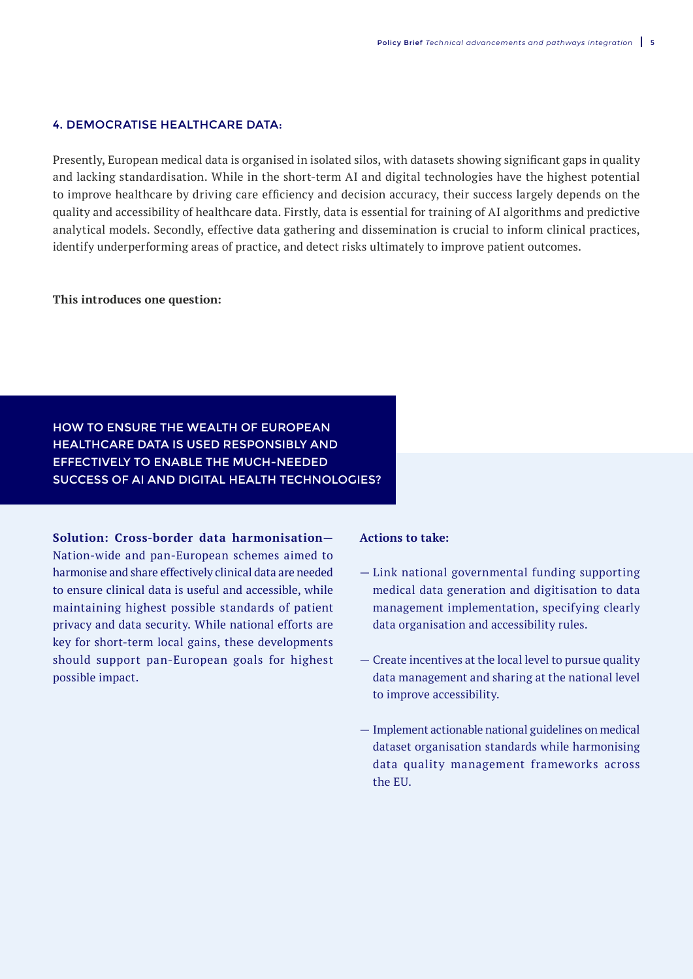### 4. DEMOCRATISE HEALTHCARE DATA:

Presently, European medical data is organised in isolated silos, with datasets showing significant gaps in quality and lacking standardisation. While in the short-term AI and digital technologies have the highest potential to improve healthcare by driving care efficiency and decision accuracy, their success largely depends on the quality and accessibility of healthcare data. Firstly, data is essential for training of AI algorithms and predictive analytical models. Secondly, effective data gathering and dissemination is crucial to inform clinical practices, identify underperforming areas of practice, and detect risks ultimately to improve patient outcomes.

#### **This introduces one question:**

HOW TO ENSURE THE WEALTH OF EUROPEAN HEALTHCARE DATA IS USED RESPONSIBLY AND EFFECTIVELY TO ENABLE THE MUCH-NEEDED SUCCESS OF AI AND DIGITAL HEALTH TECHNOLOGIES?

**Solution: Cross-border data harmonisation—**

Nation-wide and pan-European schemes aimed to harmonise and share effectively clinical data are needed to ensure clinical data is useful and accessible, while maintaining highest possible standards of patient privacy and data security. While national efforts are key for short-term local gains, these developments should support pan-European goals for highest possible impact.

- Link national governmental funding supporting medical data generation and digitisation to data management implementation, specifying clearly data organisation and accessibility rules.
- Create incentives at the local level to pursue quality data management and sharing at the national level to improve accessibility.
- Implement actionable national guidelines on medical dataset organisation standards while harmonising data quality management frameworks across the EU.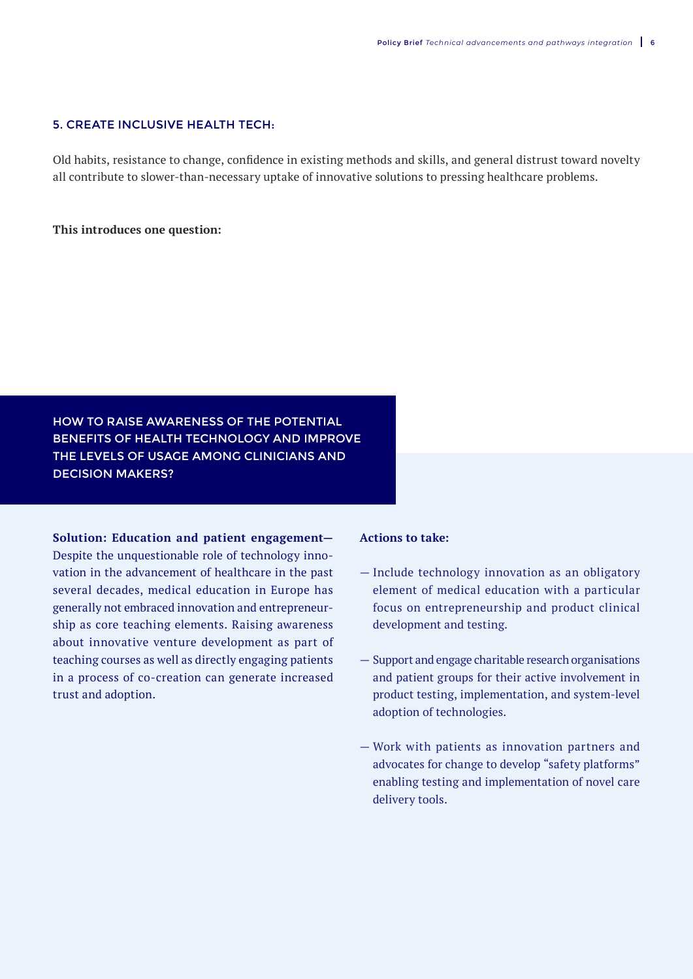### 5. CREATE INCLUSIVE HEALTH TECH:

Old habits, resistance to change, confidence in existing methods and skills, and general distrust toward novelty all contribute to slower-than-necessary uptake of innovative solutions to pressing healthcare problems.

#### **This introduces one question:**

HOW TO RAISE AWARENESS OF THE POTENTIAL BENEFITS OF HEALTH TECHNOLOGY AND IMPROVE THE LEVELS OF USAGE AMONG CLINICIANS AND DECISION MAKERS?

**Solution: Education and patient engagement—**

Despite the unquestionable role of technology innovation in the advancement of healthcare in the past several decades, medical education in Europe has generally not embraced innovation and entrepreneurship as core teaching elements. Raising awareness about innovative venture development as part of teaching courses as well as directly engaging patients in a process of co-creation can generate increased trust and adoption.

- Include technology innovation as an obligatory element of medical education with a particular focus on entrepreneurship and product clinical development and testing.
- Support and engage charitable research organisations and patient groups for their active involvement in product testing, implementation, and system-level adoption of technologies.
- Work with patients as innovation partners and advocates for change to develop "safety platforms" enabling testing and implementation of novel care delivery tools.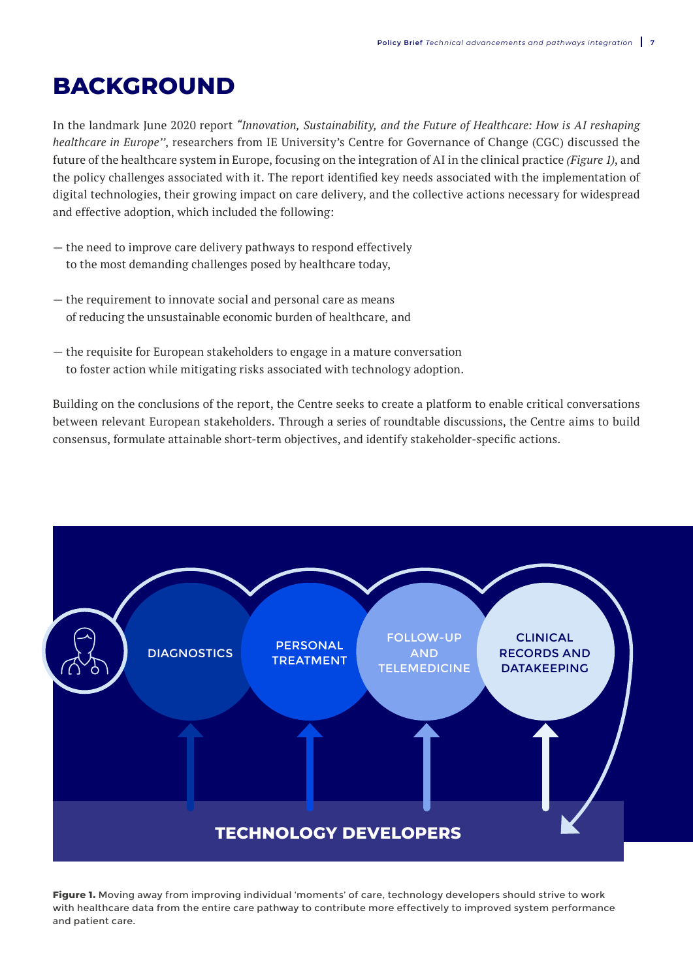# **BACKGROUND**

In the landmark June 2020 report *"Innovation, Sustainability, and the Future of Healthcare: How is AI reshaping healthcare in Europe''*, researchers from IE University's Centre for Governance of Change (CGC) discussed the future of the healthcare system in Europe, focusing on the integration of AI in the clinical practice *(Figure 1)*, and the policy challenges associated with it. The report identified key needs associated with the implementation of digital technologies, their growing impact on care delivery, and the collective actions necessary for widespread and effective adoption, which included the following:

- the need to improve care delivery pathways to respond effectively to the most demanding challenges posed by healthcare today,
- the requirement to innovate social and personal care as means of reducing the unsustainable economic burden of healthcare, and
- the requisite for European stakeholders to engage in a mature conversation to foster action while mitigating risks associated with technology adoption.

Building on the conclusions of the report, the Centre seeks to create a platform to enable critical conversations between relevant European stakeholders. Through a series of roundtable discussions, the Centre aims to build consensus, formulate attainable short-term objectives, and identify stakeholder-specific actions.



**Figure 1.** Moving away from improving individual 'moments' of care, technology developers should strive to work with healthcare data from the entire care pathway to contribute more effectively to improved system performance and patient care.